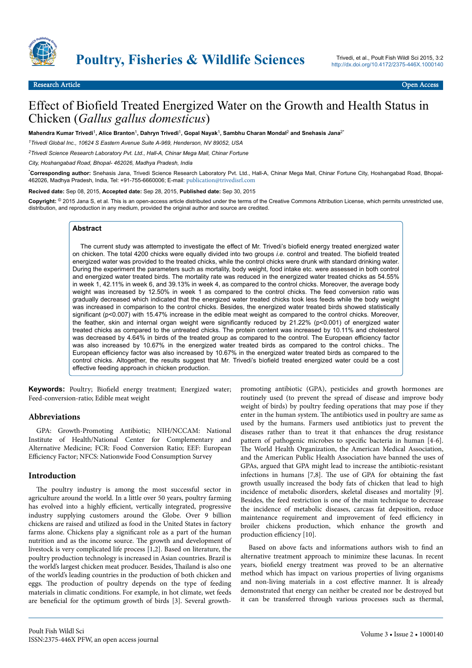

# Effect of Biofield Treated Energized Water on the Growth and Health Status in Chicken (*Gallus gallus domesticus*)

**Mahendra Kumar Trivedi**<sup>1</sup> **, Alice Branton**<sup>1</sup> **, Dahryn Trivedi**<sup>1</sup> **, Gopal Nayak**<sup>1</sup> **, Sambhu Charan Mondal**<sup>2</sup>  **and Snehasis Jana**2\*

*<sup>1</sup>Trivedi Global Inc., 10624 S Eastern Avenue Suite A-969, Henderson, NV 89052, USA*

*<sup>2</sup>Trivedi Science Research Laboratory Pvt. Ltd., Hall-A, Chinar Mega Mall, Chinar Fortune*

*City, Hoshangabad Road, Bhopal- 462026, Madhya Pradesh, India*

\***Corresponding author:** Snehasis Jana, Trivedi Science Research Laboratory Pvt. Ltd., Hall-A, Chinar Mega Mall, Chinar Fortune City, Hoshangabad Road, Bhopal-462026, Madhya Pradesh, India, Tel: +91-755-6660006; E-mail: [publication@trivedisrl.com](mailto:publication@trivedisrl.com)

**Recived date:** Sep 08, 2015, **Accepted date:** Sep 28, 2015, **Published date:** Sep 30, 2015

**Copyright:** © 2015 Jana S, et al. This is an open-access article distributed under the terms of the Creative Commons Attribution License, which permits unrestricted use, distribution, and reproduction in any medium, provided the original author and source are credited.

#### **Abstract**

The current study was attempted to investigate the effect of Mr. Trivedi's biofield energy treated energized water on chicken. The total 4200 chicks were equally divided into two groups *i.e.* control and treated. The biofield treated energized water was provided to the treated chicks, while the control chicks were drunk with standard drinking water. During the experiment the parameters such as mortality, body weight, food intake etc. were assessed in both control and energized water treated birds. The mortality rate was reduced in the energized water treated chicks as 54.55% in week 1, 42.11% in week 6, and 39.13% in week 4, as compared to the control chicks. Moreover, the average body weight was increased by 12.50% in week 1 as compared to the control chicks. The feed conversion ratio was gradually decreased which indicated that the energized water treated chicks took less feeds while the body weight was increased in comparison to the control chicks. Besides, the energized water treated birds showed statistically significant (p<0.007) with 15.47% increase in the edible meat weight as compared to the control chicks. Moreover, the feather, skin and internal organ weight were significantly reduced by 21.22% (p<0.001) of energized water treated chicks as compared to the untreated chicks. The protein content was increased by 10.11% and cholesterol was decreased by 4.64% in birds of the treated group as compared to the control. The European efficiency factor was also increased by 10.67% in the energized water treated birds as compared to the control chicks.. The European efficiency factor was also increased by 10.67% in the energized water treated birds as compared to the control chicks. Altogether, the results suggest that Mr. Trivedi's biofield treated energized water could be a cost effective feeding approach in chicken production.

**Keywords:** Poultry; Biofield energy treatment; Energized water; Feed-conversion-ratio; Edible meat weight

### **Abbreviations**

GPA: Growth-Promoting Antibiotic; NIH/NCCAM: National Institute of Health/National Center for Complementary and Alternative Medicine; FCR: Food Conversion Ratio; EEF: European Efficiency Factor; NFCS: Nationwide Food Consumption Survey

#### **Introduction**

The poultry industry is among the most successful sector in agriculture around the world. In a little over 50 years, poultry farming has evolved into a highly efficient, vertically integrated, progressive industry supplying customers around the Globe. Over 9 billion chickens are raised and utilized as food in the United States in factory farms alone. Chickens play a significant role as a part of the human nutrition and as the income source. Нe growth and development of livestock is very complicated life process [1,2]. Based on literature, the poultry production technology is increased in Asian countries. Brazil is the world's largest chicken meat producer. Besides, Нailand is also one of the world's leading countries in the production of both chicken and eggs. Нe production of poultry depends on the type of feeding materials in climatic conditions. For example, in hot climate, wet feeds are beneficial for the optimum growth of birds [3]. Several growthpromoting antibiotic (GPA), pesticides and growth hormones are routinely used (to prevent the spread of disease and improve body weight of birds) by poultry feeding operations that may pose if they enter in the human system. Нe antibiotics used in poultry are same as used by the humans. Farmers used antibiotics just to prevent the diseases rather than to treat it that enhances the drug resistance pattern of pathogenic microbes to specific bacteria in human [4-6]. The World Health Organization, the American Medical Association, and the American Public Health Association have banned the uses of GPAs, argued that GPA might lead to increase the antibiotic-resistant infections in humans [7,8]. Нe use of GPA for obtaining the fast growth usually increased the body fats of chicken that lead to high incidence of metabolic disorders, skeletal diseases and mortality [9]. Besides, the feed restriction is one of the main technique to decrease the incidence of metabolic diseases, carcass fat deposition, reduce maintenance requirement and improvement of feed efficiency in broiler chickens production, which enhance the growth and production efficiency [10].

Based on above facts and informations authors wish to find an alternative treatment approach to minimize these lacunas. In recent years, biofield energy treatment was proved to be an alternative method which has impact on various properties of living organisms and non-living materials in a cost effective manner. It is already demonstrated that energy can neither be created nor be destroyed but it can be transferred through various processes such as thermal,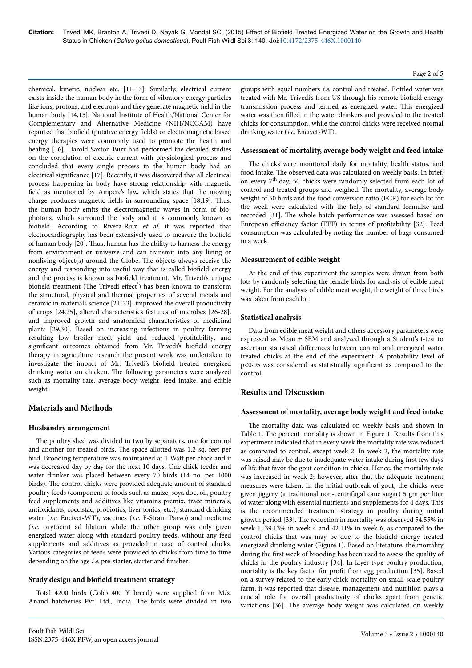chemical, kinetic, nuclear etc. [11-13]. Similarly, electrical current exists inside the human body in the form of vibratory energy particles like ions, protons, and electrons and they generate magnetic field in the human body [14,15]. National Institute of Health/National Center for Complementary and Alternative Medicine (NIH/NCCAM) have reported that biofield (putative energy fields) or electromagnetic based energy therapies were commonly used to promote the health and healing [16]. Harold Saxton Burr had performed the detailed studies on the correlation of electric current with physiological process and concluded that every single process in the human body had an electrical significance [17]. Recently, it was discovered that all electrical process happening in body have strong relationship with magnetic field as mentioned by Ampere's law, which states that the moving charge produces magnetic fields in surrounding space [18,19]. Нus the human body emits the electromagnetic waves in form of biophotons, which surround the body and it is commonly known as biofield. According to Rivera-Ruiz et al. it was reported that electrocardiography has been extensively used to measure the biofield of human body [20]. Thus, human has the ability to harness the energy from environment or universe and can transmit into any living or nonliving object(s) around the Globe. Нe objects always receive the energy and responding into useful way that is called biofield energy and the process is known as biofield treatment. Mr. Trivedi's unique biofield treatment (The Trivedi effect<sup>®</sup>) has been known to transform the structural, physical and thermal properties of several metals and ceramic in materials science [21-23], improved the overall productivity of crops [24,25], altered characteristics features of microbes [26-28], and improved growth and anatomical characteristics of medicinal plants [29,30]. Based on increasing infections in poultry farming resulting low broiler meat yield and reduced profitability, and significant outcomes obtained from Mr. Trivedi's biofield energy therapy in agriculture research the present work was undertaken to investigate the impact of Mr. Trivedi's biofield treated energized drinking water on chicken. Нe following parameters were analyzed such as mortality rate, average body weight, feed intake, and edible weight.

# **Materials and Methods**

#### **Husbandry arrangement**

The poultry shed was divided in two by separators, one for control and another for treated birds. Нe space allotted was 1.2 sq. feet per bird. Brooding temperature was maintained at 1 Watt per chick and it was decreased day by day for the next 10 days. One chick feeder and water drinker was placed between every 70 birds (14 no. per 1000 birds). Нe control chicks were provided adequate amount of standard poultry feeds (component of foods such as maize, soya doc, oil, poultry feed supplements and additives like vitamins premix, trace minerals, antioxidants, coccistac, probiotics, liver tonics, etc.), standard drinking water (i.e. Encivet-WT), vaccines (i.e. F-Strain Parvo) and medicine (i.e. oxytocin) ad libitum while the other group was only given energized water along with standard poultry feeds, without any feed supplements and additives as provided in case of control chicks. Various categories of feeds were provided to chicks from time to time depending on the age i.e. pre-starter, starter and finisher.

#### **Study design and biofield treatment strategy**

Total 4200 birds (Cobb 400 Y breed) were supplied from M/s. Anand hatcheries Pvt. Ltd., India. Нe birds were divided in two groups with equal numbers *i.e.* control and treated. Bottled water was treated with Mr. Trivedi's from US through his remote biofield energy transmission process and termed as energized water. Нis energized water was then filled in the water drinkers and provided to the treated chicks for consumption, while the control chicks were received normal drinking water (*i.e.* Encivet-WT).

#### **Assessment of mortality, average body weight and feed intake**

The chicks were monitored daily for mortality, health status, and food intake. Нe observed data was calculated on weekly basis. In brief, on every 7th day, 50 chicks were randomly selected from each lot of control and treated groups and weighed. Нe mortality, average body weight of 50 birds and the food conversion ratio (FCR) for each lot for the week were calculated with the help of standard formulae and recorded [31]. Нe whole batch performance was assessed based on European efficiency factor (EEF) in terms of profitability [32]. Feed consumption was calculated by noting the number of bags consumed in a week.

#### **Measurement of edible weight**

At the end of this experiment the samples were drawn from both lots by randomly selecting the female birds for analysis of edible meat weight. For the analysis of edible meat weight, the weight of three birds was taken from each lot.

#### **Statistical analysis**

Data from edible meat weight and others accessory parameters were expressed as Mean ± SEM and analyzed through a Student's t-test to ascertain statistical differences between control and energized water treated chicks at the end of the experiment. A probability level of p<0·05 was considered as statistically significant as compared to the control.

#### **Results and Discussion**

### **Assessment of mortality, average body weight and feed intake**

The mortality data was calculated on weekly basis and shown in Table 1. Нe percent mortality is shown in Figure 1. Results from this experiment indicated that in every week the mortality rate was reduced as compared to control, except week 2. In week 2, the mortality rate was raised may be due to inadequate water intake during first few days of life that favor the gout condition in chicks. Hence, the mortality rate was increased in week 2; however, after that the adequate treatment measures were taken. In the initial outbreak of gout, the chicks were given jiggery (a traditional non-centrifugal cane sugar) 5 gm per liter of water along with essential nutrients and supplements for 4 days. Нis is the recommended treatment strategy in poultry during initial growth period [33]. Нe reduction in mortality was observed 54.55% in week 1, 39.13% in week 4 and 42.11% in week 6, as compared to the control chicks that was may be due to the biofield energy treated energized drinking water (Figure 1). Based on literature, the mortality during the first week of brooding has been used to assess the quality of chicks in the poultry industry [34]. In layer-type poultry production, mortality is the key factor for profit from egg production [35]. Based on a survey related to the early chick mortality on small-scale poultry farm, it was reported that disease, management and nutrition plays a crucial role for overall productivity of chicks apart from genetic variations [36]. Нe average body weight was calculated on weekly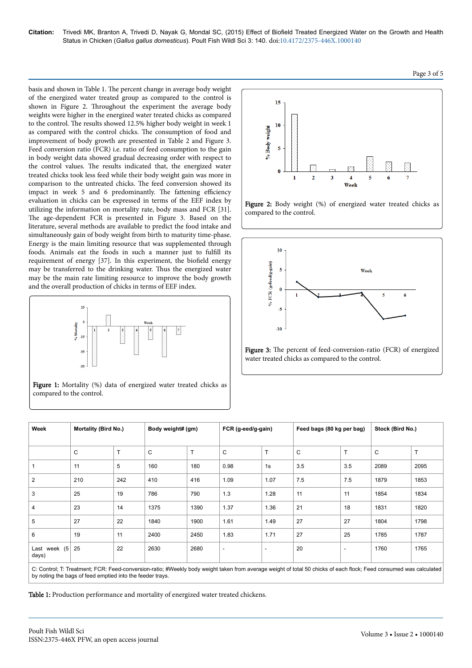**Citation:** Trivedi MK, Branton A, Trivedi D, Nayak G, Mondal SC, (2015) Effect of Biofield Treated Energized Water on the Growth and Health Status in Chicken (*Gallus gallus domesticus*). Poult Fish Wildl Sci 3: 140. doi[:10.4172/2375-446X.1000140](http://dx.doi.org/10.4172/2375-446X.1000140)

basis and shown in Table 1. Нe percent change in average body weight of the energized water treated group as compared to the control is shown in Figure 2. Нroughout the experiment the average body weights were higher in the energized water treated chicks as compared to the control. Нe results showed 12.5% higher body weight in week 1 as compared with the control chicks. Нe consumption of food and improvement of body growth are presented in Table 2 and Figure 3. Feed conversion ratio (FCR) i.e. ratio of feed consumption to the gain in body weight data showed gradual decreasing order with respect to the control values. Нe results indicated that, the energized water treated chicks took less feed while their body weight gain was more in comparison to the untreated chicks. Нe feed conversion showed its impact in week 5 and 6 predominantly. The fattening efficiency evaluation in chicks can be expressed in terms of the EEF index by utilizing the information on mortality rate, body mass and FCR [31]. The age-dependent FCR is presented in Figure 3. Based on the literature, several methods are available to predict the food intake and simultaneously gain of body weight from birth to maturity time-phase. Energy is the main limiting resource that was supplemented through foods. Animals eat the foods in such a manner just to fulfill its requirement of energy [37]. In this experiment, the biofield energy may be transferred to the drinking water. Нus the energized water may be the main rate limiting resource to improve the body growth and the overall production of chicks in terms of EEF index.



Figure 1: Mortality (%) data of energized water treated chicks as compared to the control.







water treated chicks as compared to the control.

| Week                                                                                                                                                 | <b>Mortality (Bird No.)</b> |     | Body weight# (gm) |      | FCR (g-eed/g-gain) |                          | Feed bags (80 kg per bag) |                | Stock (Bird No.) |              |
|------------------------------------------------------------------------------------------------------------------------------------------------------|-----------------------------|-----|-------------------|------|--------------------|--------------------------|---------------------------|----------------|------------------|--------------|
|                                                                                                                                                      | C                           | T   | C                 | T    | C                  | T                        | C                         | T              | C                | $\mathsf{T}$ |
| $\mathbf{1}$                                                                                                                                         | 11                          | 5   | 160               | 180  | 0.98               | 1s                       | 3.5                       | 3.5            | 2089             | 2095         |
| $\overline{2}$                                                                                                                                       | 210                         | 242 | 410               | 416  | 1.09               | 1.07                     | 7.5                       | 7.5            | 1879             | 1853         |
| 3                                                                                                                                                    | 25                          | 19  | 786               | 790  | 1.3                | 1.28                     | 11                        | 11             | 1854             | 1834         |
| $\overline{4}$                                                                                                                                       | 23                          | 14  | 1375              | 1390 | 1.37               | 1.36                     | 21                        | 18             | 1831             | 1820         |
| 5                                                                                                                                                    | 27                          | 22  | 1840              | 1900 | 1.61               | 1.49                     | 27                        | 27             | 1804             | 1798         |
| 6                                                                                                                                                    | 19                          | 11  | 2400              | 2450 | 1.83               | 1.71                     | 27                        | 25             | 1785             | 1787         |
| Last week $(5)$<br>days)                                                                                                                             | 25                          | 22  | 2630              | 2680 | ۰                  | $\overline{\phantom{a}}$ | 20                        | $\blacksquare$ | 1760             | 1765         |
| O. Oxidad: T. Taxdayrah FOD: Fred examples additionally brahmishdahlar face concern might of the FO ability of exak flesh. Fred examples and mightal |                             |     |                   |      |                    |                          |                           |                |                  |              |

Control; T: Treatment; FCR: Feed-conversion-ratio; #Weekly body weight taken from average weight of total 50 chicks of each flock; Feed consumed was calculated by noting the bags of feed emptied into the feeder trays.

Table 1: Production performance and mortality of energized water treated chickens.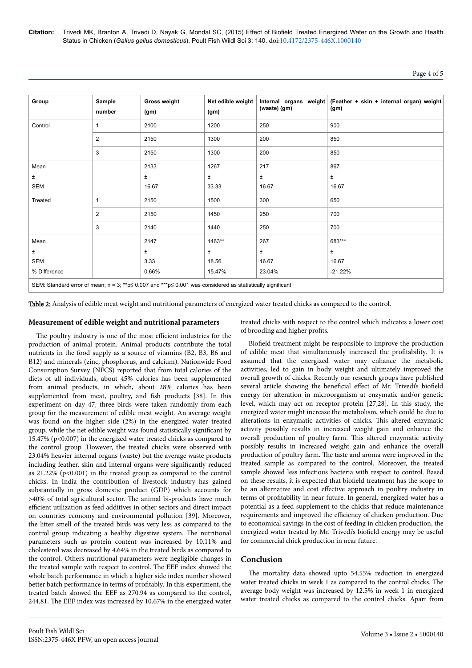**Citation:** Trivedi MK, Branton A, Trivedi D, Nayak G, Mondal SC, (2015) Effect of Biofield Treated Energized Water on the Growth and Health Status in Chicken (*Gallus gallus domesticus*). Poult Fish Wildl Sci 3: 140. doi:[10.4172/2375-446X.1000140](http://dx.doi.org/10.4172/2375-446X.1000140)

| Group                                                                                                                   | Sample<br>number | <b>Gross weight</b><br>(gm) | Net edible weight<br>(gm) | (waste) (gm) | Internal organs weight (Feather + skin + internal organ) weight<br>(gm) |  |  |  |  |
|-------------------------------------------------------------------------------------------------------------------------|------------------|-----------------------------|---------------------------|--------------|-------------------------------------------------------------------------|--|--|--|--|
| Control                                                                                                                 | 1                | 2100                        | 1200                      | 250          | 900                                                                     |  |  |  |  |
|                                                                                                                         | 2                | 2150                        | 1300                      | 200          | 850                                                                     |  |  |  |  |
|                                                                                                                         | 3                | 2150                        | 1300                      | 200          | 850                                                                     |  |  |  |  |
| Mean                                                                                                                    |                  | 2133                        | 1267                      | 217          | 867                                                                     |  |  |  |  |
| ±                                                                                                                       |                  | Ŧ                           | $\pm$                     | $\pm$        | $\pm$                                                                   |  |  |  |  |
| <b>SEM</b>                                                                                                              |                  | 16.67                       | 33.33                     | 16.67        | 16.67                                                                   |  |  |  |  |
| Treated                                                                                                                 |                  | 2150                        | 1500                      | 300          | 650                                                                     |  |  |  |  |
|                                                                                                                         | 2                | 2150                        | 1450                      | 250          | 700                                                                     |  |  |  |  |
|                                                                                                                         | 3                | 2140                        | 1440                      | 250          | 700                                                                     |  |  |  |  |
| Mean                                                                                                                    |                  | 2147                        | 1463**                    | 267          | 683***                                                                  |  |  |  |  |
| ±                                                                                                                       |                  | Ŧ                           | $\pm$                     | $\pm$        | Ŧ                                                                       |  |  |  |  |
| SEM                                                                                                                     |                  | 3.33                        | 18.56                     | 16.67        | 16.67                                                                   |  |  |  |  |
| % Difference                                                                                                            |                  | 0.66%                       | 15.47%                    | 23.04%       | $-21.22%$                                                               |  |  |  |  |
| SEM: Standard error of mean; $n = 3$ ; **p $\le 0.007$ and ***p $\le 0.001$ was considered as statistically significant |                  |                             |                           |              |                                                                         |  |  |  |  |

Table 2: Analysis of edible meat weight and nutritional parameters of energized water treated chicks as compared to the control.

#### **Measurement of edible weight and nutritional parameters**

The poultry industry is one of the most efficient industries for the production of animal protein. Animal products contribute the total nutrients in the food supply as a source of vitamins (B2, B3, B6 and B12) and minerals (zinc, phosphorus, and calcium). Nationwide Food Consumption Survey (NFCS) reported that from total calories of the diets of all individuals, about 45% calories has been supplemented from animal products, in which, about 28% calories has been supplemented from meat, poultry, and fish products [38]. In this experiment on day 47, three birds were taken randomly from each group for the measurement of edible meat weight. An average weight was found on the higher side (2%) in the energized water treated group, while the net edible weight was found statistically significant by 15.47% (p<0.007) in the energized water treated chicks as compared to the control group. However, the treated chicks were observed with 23.04% heavier internal organs (waste) but the average waste products including feather, skin and internal organs were significantly reduced as 21.22% (p<0.001) in the treated group as compared to the control chicks. In India the contribution of livestock industry has gained substantially in gross domestic product (GDP) which accounts for >40% of total agricultural sector. Нe animal bi-products have much efficient utilization as feed additives in other sectors and direct impact on countries economy and environmental pollution [39]. Moreover, the litter smell of the treated birds was very less as compared to the control group indicating a healthy digestive system. Нe nutritional parameters such as protein content was increased by 10.11% and cholesterol was decreased by 4.64% in the treated birds as compared to the control. Others nutritional parameters were negligible changes in the treated sample with respect to control. Нe EEF index showed the whole batch performance in which a higher side index number showed better batch performance in terms of profitably. In this experiment, the treated batch showed the EEF as 270.94 as compared to the control, 244.81. Нe EEF index was increased by 10.67% in the energized water

treated chicks with respect to the control which indicates a lower cost of brooding and higher profits

Biofield treatment might be responsible to improve the production of edible meat that simultaneously increased the profitability. It is assumed that the energized water may enhance the metabolic activities, led to gain in body weight and ultimately improved the overall growth of chicks. Recently our research groups have published several article showing the beneficial effect of Mr. Trivedi's biofield energy for alteration in microorganism at enzymatic and/or genetic level, which may act on receptor protein [27,28]. In this study, the energized water might increase the metabolism, which could be due to alterations in enzymatic activities of chicks. Нis altered enzymatic activity possibly results in increased weight gain and enhance the overall production of poultry farm. Нis altered enzymatic activity possibly results in increased weight gain and enhance the overall production of poultry farm. Нe taste and aroma were improved in the treated sample as compared to the control. Moreover, the treated sample showed less infectious bacteria with respect to control. Based on these results, it is expected that biofield treatment has the scope to be an alternative and cost effective approach in poultry industry in terms of profitability in near future. In general, energized water has a potential as a feed supplement to the chicks that reduce maintenance requirements and improved the efficiency of chicken production. Due to economical savings in the cost of feeding in chicken production, the energized water treated by Mr. Trivedi's biofield energy may be useful for commercial chick production in near future.

# **Conclusion**

The mortality data showed upto 54.55% reduction in energized water treated chicks in week 1 as compared to the control chicks. Нe average body weight was increased by 12.5% in week 1 in energized water treated chicks as compared to the control chicks. Apart from